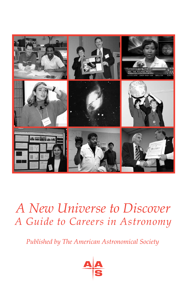

# *A New Universe to Discover A Guide to Careers in Astronomy*

*Published by The American Astronomical Society*

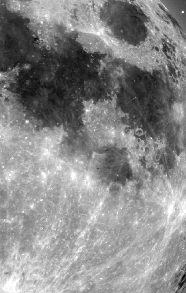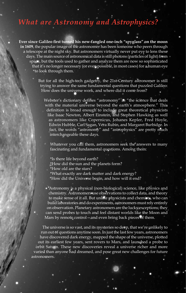# *What are Astronomy and Astrophysics?*

**Ever since Galileo first turned his new-fangled one-inch "spyglass" on the moon in 1609**, the popular image of the astronomer has been someone who peers through a telescope at the night sky. But astronomers virtually never put eye to lens these days. The main source of astronomical data is still photons (particles of light) from space, but the tools used to gather and analyze them are now so sophisticated that it's no longer necessary (or even possible, in most cases) for a human eye to look through them.

> But for all the high-tech gadgetry, the 21st-Century astronomer is still trying to answer the same fundamental questions that puzzled Galileo: How does the universe work, and where did it come from?

Webster's dictionary defines "astronomy" as "the science that deals with the material universe beyond the earth's atmosphere." This definition is broad enough to include great theoretical physicists like Isaac Newton, Albert Einstein, and Stephen Hawking as well as astronomers like Copernicus, Johanes Kepler, Fred Hoyle, Edwin Hubble, Carl Sagan, Vera Rubin, and Margaret Burbidge. In fact, the words "astronomy" and "astrophysics" are pretty much interchangeable these days.

Whatever you call them, astronomers seek the answers to many fascinating and fundamental questions. Among them:

\*Is there life beyond earth?

\*How did the sun and the planets form?

\*How old are the stars?

\*What exactly are dark matter and dark energy?

\*How did the Universe begin, and how will it end?

Astronomy is a physical (non-biological) science, like physics and chemistry. Astronomers use observations to collect data, and theory to make sense of it all. But unlike physicists and chemists, who can build laboratories and do experiments, astronomers must rely entirely on observation. Planetary astronomers are the lucky exceptions; they can send probes to touch and feel distant worlds like the Moon and Mars by remote control—and even bring back pieces of them.

The universe is so vast, and its mysteries so deep, that we're unlikely to run out of questions anytime soon. In just the last few years, astronomers have discovered dark energy, mapped the shape of the universe, plotted out its earliest few years, sent rovers to Mars, and launched a probe to orbit Saturn. These new discoveries reveal a universe richer and more varied than anyone had dreamed, and pose great new challenges for future astronomers.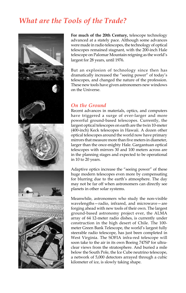# *What are the Tools of the Trade?*

![](_page_3_Picture_1.jpeg)

**For much of the 20th Century,** telescope technology advanced at a stately pace. Although some advances were made in radio telescopes, the technology of optical telescopes remained stagnant, with the 200-inch Hale telescope on Palomar Mountain reigning as the world's largest for 28 years, until 1976.

But an explosion of technology since then has dramatically increased the "seeing power" of today's telescopes, and changed the nature of the profession. These new tools have given astronomers new windows on the Universe.

# *On the Ground*

Recent advances in materials, optics, and computers have triggered a surge of ever-larger and more powerful ground-based telescopes. Currently, the largest optical telescopes on earth are the twin 10-meter (400-inch) Keck telescopes in Hawaii. A dozen other optical telescopes around the world now have primary mirrors that measure more than five meters in diameter, larger than the once-mighty Hale. Gargantuan optical telescopes with mirrors 30 and 100 meters across are in the planning stages and expected to be operational in 10 to 20 years.

Adaptive optics increase the "seeing power" of these huge modern telescopes even more by compensating for blurring due to the earth's atmosphere. The day may not be far off when astronomers can directly see planets in other solar systems.

Meanwhile, astronomers who study the non-visible wavelengths—radio, infrared, and microwave—are forging ahead with new tools of their own. The largest ground-based astronomy project ever, the ALMA array of 64 12-meter radio dishes, is currently under construction in the high desert of Chile. The 100 meter Green Bank Telescope, the world's largest fully steerable radio telescope, has just been completed in West Virginia. The SOFIA infra-red telescope will soon take to the air in its own Boeing 747SP for ultraclear views from the stratosphere. And buried a mile below the South Pole, the Ice Cube neutrino telescope, a network of 5,000 detectors arrayed through a cubic kilometer of ice, is slowly taking shape.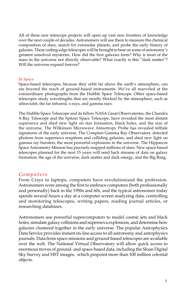All of these new telescope projects will open up vast new frontiers of knowledge over the next couple of decades. Astronomers will use them to measure the chemical composition of stars, search for extrasolar planets, and probe the early history of galaxies. These cutting-edge telescopes will be brought to bear on some of astronomy's greatest unsolved mysteries. How did the first galaxies form? Why is most of the mass in the universe not directly observable? What exactly is this "dark matter"? Will the universe expand forever?

### *In Space*

Space-based telescopes, because they orbit far above the earth's atmosphere, can see beyond the reach of ground-based instruments. We've all marveled at the extraordinary photographs from the Hubble Space Telescope. Other space-based telescopes study wavelengths that are mostly blocked by the atmosphere, such as ultraviolet, the far infrared, x-rays, and gamma rays.

The Hubble Space Telescope and its fellow NASA Great Observatories, the Chandra X-Ray Telescope and the Spitzer Space Telescope, have revealed the most distant supernova and shed new light on star formation, black holes, and the size of the universe. The Wilkinson Microwave Anisotropy Probe has revealed telltale signatures of the early universe. The Compton Gamma Ray Observatory detected photons from supernova eruptions and colliding galaxies, and shed new light on gamma ray bursters, the most powerful explosions in the universe. The Hipparcos Space Astrometry Mission has precisely mapped millions of stars. New space-based telescopes planned for the next 15 years will send back streams of data on galaxy formation, the age of the universe, dark matter and dark energy, and the Big Bang.

### *Computers*

From Crays to laptops, computers have revolutionized the profession. Astronomers were among the first to embrace computers (both professionally and personally) back in the 1950s and 60s, and the typical astronomer today spends several hours a day at a computer screen analyzing data, controlling and monitoring telescopes, writing papers, reading journal articles, or researching databases.

Astronomers use powerful supercomputers to model cosmic jets and black holes, simulate galaxy collisions and supernova explosions, and determine how galaxies clustered together in the early universe. The popular Astrophysics Data Service provides instant on-line access to all astronomy and astrophysics journals. Data from space missions and ground-based telescopes are available over the web. The National Virtual Observatory will allow quick access to enormous troves of ground- and space-based data, including the Sloan Digital Sky Survey and HST images, which pinpoint more than 100 million celestial objects.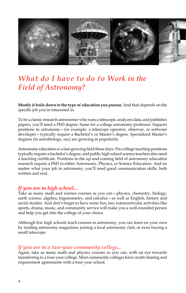![](_page_5_Picture_0.jpeg)

# *What do I have to do to Work in the Field of Astronomy?*

**Mostly it boils down to the type of education you pursue.** And that depends on the specific job you're interested in.

To be a classic research astronomer who runs a telescope, analyzes data, and publishes papers, you'll need a PhD degree. Same for a college astronomy professor. Support positions in astronomy—for example, a telescope operator, observer, or software developer—typically require a Bachelor's or Master's degree. Specialized Master's degrees (in astrobiology, say) are growing in popularity.

Astronomy education is a fast-growing field these days. Pre-college teaching positions typically require a bachelor's degree, and public high school science teachers also need a teaching certificate. Positions in the up-and-coming field of astronomy education research require a PhD in either Astronomy, Physics, or Science Education. And no matter what your job in astronomy, you'll need good communication skills, both written and oral.

# *If you are in high school...*

Take as many math and science courses as you can—physics, chemistry, biology, earth science, algebra, trigonometry, and calculus—as well as English, history and social studies. And don't forget to have some fun, too; extracurricular activities like sports, drama, music, and community service will make you a well-rounded person and help you get into the college of your choice.

Although few high schools teach courses in astronomy, you can learn on your own by reading astronomy magazines, joining a local astronomy club, or even buying a small telescope.

### *If you are in a two-year community college...*

Again, take as many math and physics courses as you can, with an eye towards transferring to a four-year college. Most community colleges have credit-sharing and requirement agreements with a four-year school.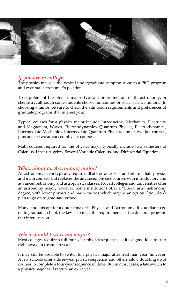![](_page_6_Picture_0.jpeg)

# *If you are in college...*

The physics major is the typical undergraduate stepping stone to a PhD program and eventual astronomer's position.

To supplement the physics major, typical minors include math, astronomy, or chemistry, although some students choose humanities or social science minors. (In choosing a minor, be sure to check the admission requirements and preferences of graduate programs that interest you.)

Typical courses for a physics major include Introductory Mechanics, Electricity and Magnetism, Waves, Thermodynamics, Quantum Physics, Electrodynamics, Intermediate Mechanics, Intermediate Quantum Physics, one or two lab courses, plus one or two advanced physics courses.

Math courses required for the physics major typically include two semesters of Calculus, Linear Algebra, Several Variable Calculus, and Differential Equations.

### *What about an Astronomy major?*

An astronomy major typically requires all of the same basic and intermediate physics and math courses, but replaces the advanced physics courses with introductory and advanced astronomy and astrophysics classes. Not all colleges and universities offer an astronomy major, however. Some institutions offer a "liberal arts" astronomy degree, with fewer physics and math courses which may be an option if you don't plan to go on to graduate sschool.

Many students opt for a double major in Physics and Astronomy. If you plan to go on to graduate school, the key is to meet the requirements of the doctoral program that interests you.

### *When should I start my major?*

Most colleges require a full four-year physics sequence, so it's a good idea to start right away, in freshman year.

It may still be possible to switch to a physics major after freshman year, however. A few schools offer a three-year physics sequence, and others allow doubling up of courses to complete a four-year sequence in three. But in most cases, a late switch to a physics major will require an extra year.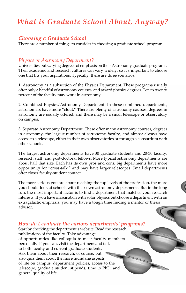# *What is Graduate School About, Anyway?*

## *Choosing a Graduate School*

There are a number of things to consider in choosing a graduate school program.

### *Physics or Astronomy Department?*

Universities put varying degrees of emphasis on their Astronomy graduate programs. Their academic and research cultures can vary widely, so it's important to choose one that fits your aspirations. Typically, there are three scenarios.

1. Astronomy as a subsection of the Physics Department. These programs usually offer only a handful of astronomy courses, and award physics degrees. Ten to twenty percent of the faculty may work in astronomy.

2. Combined Physics/Astronomy Department. In these combined departments, astronomers have more "clout." There are plenty of astronomy courses, degrees in astronomy are usually offered, and there may be a small telescope or observatory on campus.

3. Separate Astronomy Department. These offer many astronomy courses, degrees in astronomy, the largest number of astronomy faculty, and almost always have access to a telescope, either in their own observatories or through a consortium with other schools.

The largest astronomy departments have 30 graduate students and 20-30 faculty, research staff, and post-doctoral fellows. More typical astronomy departments are about half that size. Each has its own pros and cons; big departments have more opportunity for "cross-talk," and may have larger telescopes. Small departments offer closer faculty-student contact.

The more serious you are about reaching the top levels of the profession, the more you should look at schools with their own astronomy departments. But in the long run, the most important factor is to find a department that matches your research interests. If you have a fascination with solar physics but choose a department with an extragalactic emphasis, you may have a tough time finding a mentor or thesis advisor.

### *How do I evaluate the various departments' programs?*

Start by checking the department's website. Read the research publications of the faculty. Take advantage of opportunities like colloquia to meet faculty members personally. If you can, visit the department and talk to both faculty and current graduate students. Ask them about their research, of course, but also quiz them about the more mundane aspects of life on campus: department policies, access to the telescope, graduate student stipends, time to PhD, and general quality of life.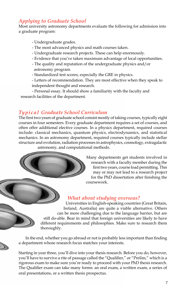# *Applying to Graduate School*

Most university astronomy departments evaluate the following for admission into a graduate program:

- Undergraduate grades.
- The most advanced physics and math courses taken.
- Undergraduate research projects. These can help enormously.
- Evidence that you've taken maximum advantage of local opportunities.
- The quality and reputation of the undergraduate physics and/or astronomy program.
- Standardized test scores, especially the GRE in physics.
- Letters of recommendation. They are most effective when they speak to independent thought and research.

- Personal essay. It should show a familiarity with the faculty and research facilities of the department.

# *Typical Graduate School Curriculum*

The first two years of graduate school consist mostly of taking courses, typically eight courses in four semesters. Every graduate department requires a set of courses, and often offer additional elective courses. In a physics department, required courses include: classical mechanics, quantum physics, electrodynamics, and statistical mechanics. In an astronomy department, required courses typically include stellar structure and evolution, radiation processes in astrophysics, cosmology, extragalactic astronomy, and computational methods.

> Many departments get students involved in research with a faculty member during the first two years, course load permitting. This may or may not lead to a research project for the PhD dissertation after finishing the coursework.

# *What about studying overseas?*

Universities in English-speaking countries (Great Britain, Ireland, Australia) are quite a viable alternative. Others can be more challenging due to the language barrier, but are still do-able. Bear in mind that foreign universities are likely to have different requirements and philosophies. Make sure to research them thoroughly.

In the end, whether you go abroad or not is probably less important than finding a department whose research focus matches your interests.

Starting in year three, you'll dive into your thesis research. Before you do, however, you'll have to survive a rite of passage called the "Qualifier," or "Prelim," which is a rigorous exam to make sure you're ready to proceed with your PhD thesis research. The Qualifier exam can take many forms: an oral exam, a written exam, a series of oral presentations, or a written thesis prospectus.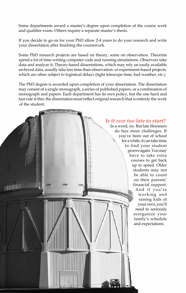Some departments award a master's degree upon completion of the course work and qualifier exam. Others require a separate master's thesis.

If you decide to go on for your PhD allow 2-4 years to do your research and write your dissertation after finishing the coursework.

Some PhD research projects are based on theory, some on observation. Theorists spend a lot of time writing computer code and running simulations. Observers take data and analyze it. Theory-based dissertations, which may rely on easily available archived data, usually take less time than observation- or experiment-based projects, which are often subject to logistical delays (tight telescope time, bad weather, etc.)

The PhD degree is awarded upon completion of your dissertation. The dissertation may consist of a single monograph, a series of published papers, or a combination of monograph and papers. Each department has its own policy, but the one hard and fast rule is this: the dissertation must reflect original research that is entirely the work of the student.

**TANAHANANI** 

# *Is it ever too late to start?*

In a word, no. But late bloomers do face more challenges. If you've been out of school for a while, it can take time to find your student groove again. You may have to take extra courses to get back up to speed. Older students may not be able to count on their parents' financial support. And if you're working and raising kids of your own, you'll need to seriously reorganize your family's schedule and expectations.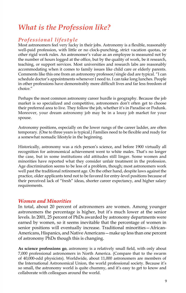# *What is the Profession like?*

# *Professional lifestyle*

Most astronomers feel very lucky in their jobs. Astronomy is a flexible, reasonably well-paid profession, with little or no clock-punching, strict vacation quotas, or other rigid work rules. An astronomer's value as an employee is measured not by the number of hours logged at the office, but by the quality of work, be it research, teaching, or support services. Most universities and research labs are reasonably accommodating when it comes to family issues like child care or elderly parents. Comments like this one from an astronomy professor/single dad are typical. "I can schedule doctor's appointments whenever I need to. I can take long lunches. People in other professions have demonstrably more difficult lives and far less freedom of choice."

Perhaps the most common astronomy career hurdle is geography. Because the job market is so specialized and competitive, astronomers don't often get to choose their preferred area to live. They follow the job, whether it's in Paradise or Podunk. Moreover, your dream astronomy job may be in a lousy job market for your spouse.

Astronomy positions, especially on the lower rungs of the career ladder, are often temporary. (One to three years is typical.) Families need to be flexible and ready for a somewhat nomadic lifestyle in the beginning.

Historically, astronomy was a rich person's science, and before 1900 virtually all recognition for astronomical achievement went to white males. That's no longer the case, but in some institutions old attitudes still linger. Some women and minorities have reported what they consider unfair treatment in the profession. Age discrimination seems to be less of a problem, though; most astronomers work well past the traditional retirement age. On the other hand, despite laws against the practice, older applicants tend not to be favored for entry-level positions because of their perceived lack of "fresh" ideas, shorter career expectancy, and higher salary requirements.

# *Women and Minorities*

In total, about 20 percent of astronomers are women. Among younger astronomers the percentage is higher, but it's much lower at the senior levels. In 2001, 25 percent of PhDs awarded by astronomy departments were earned by women, so it seems inevitable that the percentage of women in senior positions will eventually increase. Traditional minorities—African-Americans, Hispanics, and Native Americans—make up less than one percent of astronomy PhDs though this is changing.

**As science professions go**, astronomy is a relatively small field, with only about 7,000 professional astronomers in North America. (Compare that to the swarm of 40,000-odd physicists). Worldwide, about 11,000 astronomers are members of the International Astronomical Union, the world professional society. Because it's so small, the astronomy world is quite chummy, and it's easy to get to know and collaborate with colleagues around the world.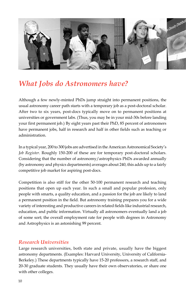![](_page_11_Picture_0.jpeg)

# *What Jobs do Astronomers have?*

Although a few newly-minted PhDs jump straight into permanent positions, the usual astronomy career path starts with a temporary job as a post-doctoral scholar. After two to six years, post-docs typically move on to permanent positions at universities or government labs. (Thus, you may be in your mid-30s before landing your first permanent job.) By eight years past their PhD, 85 percent of astronomers have permanent jobs, half in research and half in other fields such as teaching or administration.

In a typical year, 200 to 300 jobs are advertised in the American Astronomical Society's *Job Register*. Roughly 150-200 of these are for temporary post-doctoral scholars. Considering that the number of astronomy/astrophysics PhDs awarded annually (by astronomy and physics departments) averages about 240, this adds up to a fairly competitive job market for aspiring post-docs.

Competition is also stiff for the other 50-100 permanent research and teaching positions that open up each year. In such a small and popular profesion, only people with smarts, a quality education, and a passion for the job are likely to land a permanent position in the field. But astronomy training prepares you for a wide variety of interesting and productive careers in related fields like industrial research, education, and public information. Virtually all astronomers eventually land a job of some sort; the overall employment rate for people with degrees in Astronomy and Astrophysics is an astonishing 99 percent.

# *Research Universities*

Large research universities, both state and private, usually have the biggest astronomy departments. (Examples: Harvard University, University of California-Berkeley.) These departments typically have 15-20 professors, a research staff, and 20-30 graduate students. They usually have their own observatories, or share one with other colleges.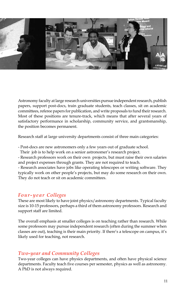![](_page_12_Picture_0.jpeg)

Astronomy faculty at large research universities pursue independent research, publish papers, support post-docs, train graduate students, teach classes, sit on academic committees, referee papers for publication, and write proposals to fund their research. Most of these positions are tenure-track, which means that after several years of satisfactory performance in scholarship, community service, and grantsmanship, the position becomes permanent.

Research staff at large university departments consist of three main categories:

- Post-docs are new astronomers only a few years out of graduate school.

Their job is to help work on a senior astronomer's research project.

- Research professors work on their own projects, but must raise their own salaries and project expenses through grants. They are not required to teach.

- Research associates have jobs like operating telescopes or writing software. They typically work on other people's projects, but may do some research on their own. They do not teach or sit on academic committees.

### *Four-year Colleges*

These are most likely to have joint physics/astronomy departments. Typical faculty size is 10-15 professors, perhaps a third of them astronomy professors. Research and support staff are limited.

The overall emphasis at smaller colleges is on teaching rather than research. While some professors may pursue independent research (often during the summer when classes are out), teaching is their main priority. If there's a telescope on campus, it's likely used for teaching, not research.

# *Two-year and Community Colleges*

Two-year colleges can have physics departments, and often have physical science departments. Faculty teach five courses per semester, physics as well as astronomy. A PhD is not always required.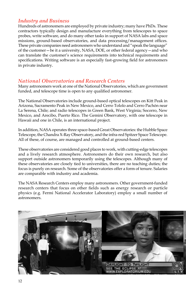# *Industry and Business*

Hundreds of astronomers are employed by private industry; many have PhDs. These contractors typically design and manufacture everything from telescopes to space probes, write software, and do many other tasks in support of NASA labs and space missions, ground-based observatories, and data processing/management offices. These private companies need astronomers who understand and "speak the language" of the customer—be it a university, NASA, DOE, or other federal agency—and who can translate the customer's science requirements into technical requirements and specifications. Writing software is an especially fast-growing field for astronomers in private industry.

# *National Observatories and Research Centers*

Many astronomers work at one of the National Observatories, which are government funded, and telescope time is open to any qualified astronomer.

The National Observatories include ground-based optical telescopes on Kitt Peak in Arizona, Sacramento Peak in New Mexico, and Cerro Tololo and Cerro Pachón near La Serena, Chile; and radio telescopes in Green Bank, West Virginia; Socorro, New Mexico, and Arecibo, Puerto Rico. The Gemini Observatory, with one telescope in Hawaii and one in Chile, is an international project.

In addition, NASA operates three space-based Great Observatories: the Hubble Space Telescope, the Chandra X-Ray Observatory, and the infra-red Spitzer Space Telescope. All of these, of course, are managed and controlled at ground-based centers.

These observatories are considered good places to work, with cutting-edge telescopes and a lively research atmosphere. Astronomers do their own research, but also support outside astronomers temporarily using the telescopes. Although many of these observatories are closely tied to universities, there are no teaching duties; the focus is purely on research. Some of the observatories offer a form of tenure. Salaries are comparable with industry and academia.

The NASA Research Centers employ many astronomers. Other government-funded research centers that focus on other fields such as energy research or particle physics (e.g. Fermi National Accelerator Laboratory) employ a small number of astronomers.

![](_page_13_Picture_8.jpeg)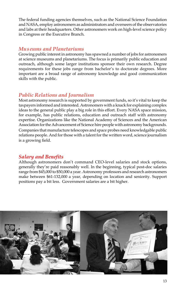The federal funding agencies themselves, such as the National Science Foundation and NASA, employ astronomers as administrators and overseers of the observatories and labs at their headquarters. Other astronomers work on high-level science policy in Congress or the Executive Branch.

### *Museums and Planetariums*

Growing public interest in astronomy has spawned a number of jobs for astronomers at science museums and planetariums. The focus is primarily public education and outreach, although some larger institutions sponsor their own research. Degree requirements for these jobs range from bachelor's to doctorate degrees. More important are a broad range of astronomy knowledge and good communication skills with the public.

# *Public Relations and Journalism*

Most astronomy research is supported by government funds, so it's vital to keep the taxpayers informed and interested. Astronomers with a knack for explaining complex ideas to the general public play a big role in this effort. Every NASA space mission, for example, has public relations, education and outreach staff with astronomy expertise. Organizations like the National Academy of Sciences and the American Association for the Advancement of Science hire people with astronomy backgrounds. Companies that manufacture telescopes and space probes need knowledgable public relations people. And for those with a talent for the written word, science journalism is a growing field.

### *Salary and Benefits*

Although astronomers don't command CEO-level salaries and stock options, generally they're paid reasonably well. In the beginning, typical post-doc salaries range from \$45,000 to \$50,000 a year. Astronomy professors and research astronomers make between \$61-132,000 a year, depending on location and seniority. Support positions pay a bit less. Government salaries are a bit higher.

![](_page_14_Picture_7.jpeg)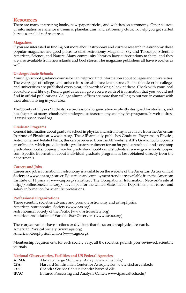# **Resources**

There are many interesting books, newspaper articles, and websites on astronomy. Other sources of information are science museums, planetariums, and astronomy clubs. To help you get started here is a small list of resources.

### **Magazines**

If you are interested in finding out more about astronomy and current research in astronomy these popular magazines are good places to start: Astronomy Magazine, Sky and Telescope, Scientific American, Science, and Nature. Many community libraries have subscriptions to them, and they are also available from newsstands and bookstores. The magazine publishers all have websites as well.

### **Undergraduate Schools**

Your high school guidance counselor can help you find information about colleges and universities. The webpages of colleges and universities are also excellent sources. Books that describe colleges and universities are published every year; it's worth taking a look at these. Check with your local bookstore and library. Recent graduates can give you a wealth of information that you would not find in official publications. College alumni offices are more than willing to put you in contact with their alumni living in your area.

The Society of Physics Students is a professional organization explicitly designed for students, and has chapters at many schools with undergraduate astronomy and physics programs. Its web address is www.spsnational.org.

### **Graduate Programs**

General information about graduate school in physics and astronomy is available from the American Institute of Physics at www.aip.org. The AIP annually publishes Graduate Programs in Physics, Astronomy, and Related Fields; this can be ordered from the AIP website. AIP's GradschoolShopper is an online site which provides both a graduate recruitment forum for graduate schools and a one-stop graduate-school shopping place for graduate-school-bound students at www.gradschoolshopper. com. Specific information about individual graduate programs is best obtained directly from the departments.

#### **Careers and Jobs**

Career and job information in astronomy is available on the website of the American Astronomical Society at www.aas.org/career. Education and employment trends are available from the American Institute of Physics at www.aip.org/statistics/. The Occupational Information Network's site at http://online.onetcenter.org/, developed for the United States Labor Department, has career and salary information for scientific professions.

#### **Professional Organizations**

These scientific societies advance and promote astronomy and astrophysics. American Astronomical Society (www.aas.org) Astronomical Society of the Pacific (www.astrosociety.org) American Association of Variable Star Observers (www.aavso.org)

These organizations have sections or divisions that focus on astrophysical research. American Physical Society (www.aps.org) American Geophysical Union (www.agu.org)

Membership requirements for each society vary; all the societies publish peer-reviewed, scientific journals.

| <b>National Observatories, Facilities and US Federal Agencies</b> |                                                                  |  |
|-------------------------------------------------------------------|------------------------------------------------------------------|--|
| <b>ALMA</b>                                                       | Atacama Large Millimeter Array: www.alma.info/                   |  |
| CfA                                                               | Harvard-Smithsonian Center for Astrophysics: www.cfa.harvard.edu |  |
| CSC.                                                              | Chandra Science Center: chandra.harvard.edu                      |  |
| <b>IPAC</b>                                                       | Infrared Processing and Analysis Center: www.ipac.caltech.edu/   |  |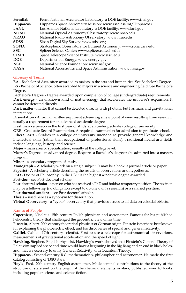| Fermilab         | Fermi National Accelerator Laboratory, a DOE facility: www.fnal.gov  |
|------------------|----------------------------------------------------------------------|
| <b>Hipparcos</b> | Hipparcos Space Astrometry Mission: www.rssd.esa.int/Hipparcos/      |
| <b>LANL</b>      | Los Alamos National Laboratory, a DOE facility: www.lanl.gov         |
| <b>NOAO</b>      | National Optical Astronomy Observatory: www.noao.edu                 |
| <b>NRAO</b>      | National Radio Astronomy Observatory: www.nrao.edu                   |
| <b>SDSS</b>      | Sloan Digital Sky Survey: www.sdss.org                               |
| <b>SOFIA</b>     | Stratospheric Observatory for Infrared Astronomy: www.sofia.usra.edu |
| <b>SSC</b>       | Spitzer Science Center: www.spitzer.caltech.edu/                     |
| <b>STSCI</b>     | Space Telescope Science Institute: www.stsci.edu                     |
| <b>DOE</b>       | Department of Energy: www.energy.gov                                 |
| <b>NSF</b>       | National Science Foundation: www.nsf.gov                             |
| <b>NASA</b>      | National Aeronautics and Space Administration: www.nasa.gov          |

#### **Glossary of Terms**

**BA** - Bachelor of Arts, often awarded to majors in the arts and humanities. See Bachelor's Degree. **BS** - Bachelor of Science, often awarded to majors in a science and engineering field. See Bachelor's Degree.

**Bachelor's Degree** - Degree awarded upon completion of college (undergraduate) requirements. **Dark energy** - an unknown kind of matter-energy that accelerates the universe's expansion. It

cannot be detected directly.

**Dark matter** - matter that cannot be detected directly with photons, but has mass and gravitational interactions.

**Dissertation** - A formal, written argument advancing a new point of view resulting from research; usually a requirement for an advanced academic degree.

**Freshman** - a person in the first year of study at an undergraduate college or university.

**GRE** - Graduate Record Examination. A required examination for admission to graduate school.

**Liberal Arts** - Studies in a college or university intended to provide general knowledge and intellectual skills (rather than occupational or professional skills). Traditional liberal arts fields include language, history, and science.

**Major** - main area of specialization, usually at the college level.

**Master's Degree** - an advanced degree. Requires a Bachelor's degree to be admitted into a masters program.

**Minor** - a secondary program of study.

**Monograph** – A scholarly work on a single subject. It may be a book, a journal article or paper.

**Paper(s)** - A scholarly article describing the results of observations and hypotheses.

**PhD** - Doctor of Philosophy, in the US it is the highest academic degree awarded.

**Post-doc** – see Post-doctoral scholar

**Post-doctoral scholar** - a person who has received a PhD and holds a temporary position. The position may be a fellowship (no obligation except to do one own's research) or a salaried position. **Post-doctoral student** – see Post-doctoral scholar.

**Thesis** – used here as a synonym for dissertation.

**Virtual Observatory** - a "cyber" observatory that provides access to all data on celestial objects.

### **Names of People**

**Copernicus**, Nicolaus. 15th century Polish physician and astronomer. Famous for his published heliocentric theory that challenged the geocentric view of his time.

**Einstein**, Albert. 20th century theoretical physicist of German origin. Einstein is perhaps best known for explaining the photoelectric effect, and his discoveries of special and general relativity.

**Galilei**, Galileo. 17th century scientist. First to use a telescope for astronomical observations, measurements of gravitational acceleration and the speed of light.

**Hawking**, Stephen. English physicist. Hawking's work showed that Einstein's General Theory of Relativity implied space and time would have a beginning in the Big Bang and an end in black holes, and, that is necessary to unify General Relativity with Quantum Theory.

**Hipparcos** - Second-century B.C. mathematician, philosopher and astronomer. He made the first catalog consisting of 1,080 stars.

**Hoyle**, Fred. 20th century English astronomer. Made seminal contributions to the theory of the structure of stars and on the origin of the chemical elements in stars, published over 40 books including popular science and science fiction.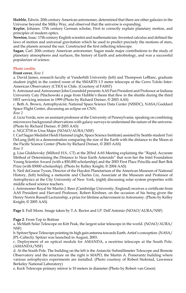**Hubble**, Edwin. 20th century American astronomer, determined that there are other galaxies in the Universe beyond the Milky Way, and observed that the universe is expanding.

**Kepler**, Johanes. 17th century German scholar, First to correctly explain planetary motion, and principles of modern optics.

**Newton**, Isaac. 17th century English scientist and mathematician. Invented calculus and defined the laws of motion and universal gravitation which he used to predict precisely the motions of stars, and the planets around the sun. Constructed the first reflecting telescope.

**Sagan**, Carl. 20th century American astronomer. Sagan made major contributions to the study of planetary atmospheres and surfaces, the history of Earth and astrobiology, and was a successful popularizer of science.

### **Photo credits**

**Front cover**, *Row 1*

a. David James, research faculty at Vanderbilt University (left) and Thompson LeBlanc, graduate student (right) in the control room of the SMARTS 1.5 meter telescope at the Cerro Tololo Inter-American Observatory (CTIO) in Chile. (Courtesy of FASST)

b. Astronaut and Astronomer John Grunsfeld presents AAS Past President and Professor at Indiana University Caty Pilachowski a page from Hubble's thesis that flew in the shuttle during the third HST servicing mission in 1999 (Photo by Richard Dreiser, © 2003 AAS)

c. Beth A. Brown, Astrophysicist, National Space Science Data Center (NSSDC), NASA/Goddard Space Flight Center, discussing an eclipse on CNN.

*Row 2*

d. Licia Verde, now an assistant professor at the University of Pennsylvania. speaking on combining microwave background observations with galaxy surveys to understand the nature of the universe. (Photo by Richard Dreiser, © 2003 AAS)

e. NGC3718 in Ursa Major (NOAO/AURA/NSF)

f. Carl Sagan Medalist Heidi Hammel (right, Space Science Institute) assisted by Seattle student Tori DeLung (left) in a demonstration comparing the size of the Earth with the distance to the Moon at the Pacific Science Center (Photo by Richard Dreiser, © 2003 AAS) *Row 3*

g. Lisa Glukhovsky (Milford H.S., CT) at the 203rd AAS Meeting explaining the "Rapid, Accurate Method of Determining the Distance to Near Earth Asteroids" that won her the Intel Foundation Young Scientist Award (with a \$50,000 scholarship) and the 2003 First Place Priscilla and Bart Bok Prize (with \$5000 scholarship). (Photo by Kelley Knight, © 2004 AAS)

h. Neil deGrasse Tyson, Director of the Hayden Planetarium of the American Museum of National History, (left) holding a meteorite and Charles Liu, Associate at the Museum and Professor of Astrophysics at the City University of New York, (right) discussing solar system properties with middle school science teachers.

i. Astronomer Royal Sir Martin J. Rees (Cambridge University, England) receives a certificate from AAS President and Harvard Professor, Robert Kirshner, on the occasion of his being given the Henry Norris Russell Lectureship, a prize for lifetime achievement in Astronomy. (Photo by Kelley Knight, © 2005 AAS)

**Page 1**: Full Moon. Image taken by T.A. Rector and I.P. Dell'Antonio (NOAO/AURA/NSF)

**Page 2**: From Top to Bottom

a. McMath Solar Telescope on Kitt Peak, the largest solar telescope in the world. (NOAO/AURA/ NSF)

b. Spitzer Space Telescope pointing its high gain antenna towards Earth. Artist's conception. (NASA/ JPL-Caltech). Spitzer was launched in August, 2003.

c. Deployment of an optical module for AMANDA, a neutrino telescope at the South Pole. (AMANDA/NSF)

d. At the South Pole. The building on the left is the Antarctic Submillimeter Telescope and Remote Observatory and the structure on the right is MAPO, the Martin A. Pomerantz building where various astrophysics experiments are installed. (Photo courtesy of Robert Stokstad, Lawrence Berkeley National Laboratory)

e. Keck Telescope primary mirror is 10 meters in diameter (Photo by Robert van Green)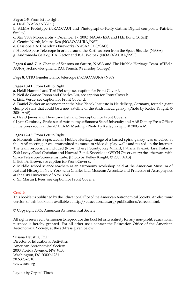**Pages 4-5**: From left to right

a. He-II (NASA/NSSDC)

b. ALMA Prototype (NRAO/AUI and Photographer-Kelly Gatlin; Digital composite-Patricia Smiley)

c. Star V838 Monocerotis – December 17, 2002 (NASA/ESA and H.E. Bond {STScI})

d. Gemini North, Mauna Kea (NOAO/AURA/NSF)

e. Cassiopeia A: Chandra's Fireworks (NASA/CXC/SAO)

f. Hubble Space Telescope in orbit around the Earth as seen from the Space Shuttle. (NASA)

g. Andromeda Galaxy, T.A. Rector and B.A. Wolpa/ (NOAO/AURA/NSF)

**Pages 6 and 7**: A Change of Seasons on Saturn, NASA and The Hubble Heritage Team. (STScI/ AURA) Acknowledgment: R.G. French. (Wellesley College)

**Page 8**: CTIO 4-meter Blanco telescope (NOAO/AURA/NSF)

**Pages 10-11**: From Left to Right

a. Heidi Hammel and Tori DeLung, see caption for Front Cover f.

b. Neil de Grasse Tyson and Charles Liu, see caption for Front Cover h.

c. Licia Verde, see caption for Front Cover d.

d. Daniel Zucker an astronomer at the Max Planck Institute in Heidelberg, Germany, found a giant clump of stars that could be a new satellite of the Andromeda galaxy. (Photo by Kelley Knight, © 2004 AAS)

e. David James and Thompson LeBlanc. See caption for Front Cover a.

f. Lynn Cominsky, Professor of Astronomy at Sonoma State University and AAS Deputy Press Officer in the press room at the 205th AAS Meeting. (Photo by Kelley Knight, © 2005 AAS)

#### **Pages 12-13**: From Left to Right

a. Moments after a spectacular Hubble Heritage image of a barred spiral galaxy was unveiled at the AAS meeting, it was transmitted to museum video display walls and posted on the internet. The team responsible included (l-to-r) Cheryl Gundy, Ray Villard, Patricia Knezek, Lisa Fratarre, Zolt Levay, Carol Christian and Howard Bond. Knezek is at WIYN Observatory; the others are with Space Telescope Science Institute. (Photo by Kelley Knight, © 2005 AAS)

b. Beth A. Brown, see caption for Front Cover c.

c. Middle school science teachers at an astronomy workshop held at the American Museum of Natural History in New York with Charles Liu, Museum Associate and Professor of Astrophysics at the City University of New York.

d. Sir Martin J. Rees, see caption for Front Cover i.

#### **Credits**

This booklet is published by the Education Office of the American Astronomical Society. An electronic version of this booklet is available at http://education.aas.org/publications/careers.html.

© Copyright 2005, American Astronomical Society

All rights reserved. Permission to reproduce this booklet in its entirety for any non-profit, educational purpose is hereby granted. For all other uses contact the Education Office of the American Astronomical Society, at the address given below.

Susana Deustua, PhD Director of Educational Activities American Astronomical Society 2000 Florida Avenue, NW #400 Washington, DC 20009-1231 202-328-2010 www.aas.org

Layout by Crystal Tinch